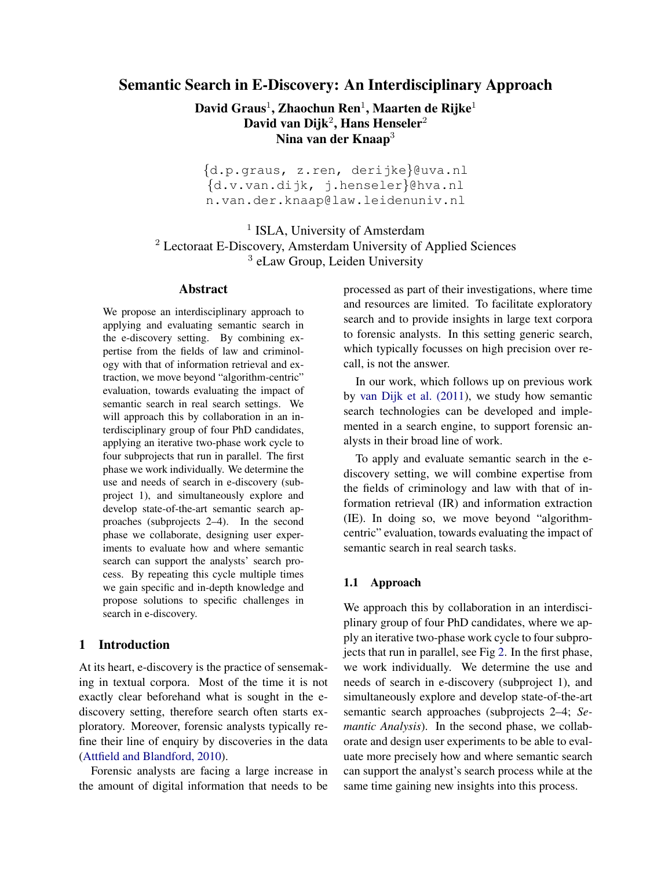# Semantic Search in E-Discovery: An Interdisciplinary Approach

David Graus $^1$ , Zhaochun Ren $^1$ , Maarten de Rijke $^1$ David van Dijk<sup>2</sup>, Hans Henseler<sup>2</sup> Nina van der Knaap<sup>3</sup>

{d.p.graus, z.ren, derijke}@uva.nl {d.v.van.dijk, j.henseler}@hva.nl n.van.der.knaap@law.leidenuniv.nl

<sup>1</sup> ISLA, University of Amsterdam <sup>2</sup> Lectoraat E-Discovery, Amsterdam University of Applied Sciences <sup>3</sup> eLaw Group, Leiden University

## Abstract

We propose an interdisciplinary approach to applying and evaluating semantic search in the e-discovery setting. By combining expertise from the fields of law and criminology with that of information retrieval and extraction, we move beyond "algorithm-centric" evaluation, towards evaluating the impact of semantic search in real search settings. We will approach this by collaboration in an interdisciplinary group of four PhD candidates, applying an iterative two-phase work cycle to four subprojects that run in parallel. The first phase we work individually. We determine the use and needs of search in e-discovery (subproject 1), and simultaneously explore and develop state-of-the-art semantic search approaches (subprojects 2–4). In the second phase we collaborate, designing user experiments to evaluate how and where semantic search can support the analysts' search process. By repeating this cycle multiple times we gain specific and in-depth knowledge and propose solutions to specific challenges in search in e-discovery.

## <span id="page-0-0"></span>1 Introduction

At its heart, e-discovery is the practice of sensemaking in textual corpora. Most of the time it is not exactly clear beforehand what is sought in the ediscovery setting, therefore search often starts exploratory. Moreover, forensic analysts typically refine their line of enquiry by discoveries in the data [\(Attfield and Blandford, 2010\)](#page-3-0).

Forensic analysts are facing a large increase in the amount of digital information that needs to be

processed as part of their investigations, where time and resources are limited. To facilitate exploratory search and to provide insights in large text corpora to forensic analysts. In this setting generic search, which typically focusses on high precision over recall, is not the answer.

In our work, which follows up on previous work by [van Dijk et al. \(2011\)](#page-4-0), we study how semantic search technologies can be developed and implemented in a search engine, to support forensic analysts in their broad line of work.

To apply and evaluate semantic search in the ediscovery setting, we will combine expertise from the fields of criminology and law with that of information retrieval (IR) and information extraction (IE). In doing so, we move beyond "algorithmcentric" evaluation, towards evaluating the impact of semantic search in real search tasks.

### 1.1 Approach

We approach this by collaboration in an interdisciplinary group of four PhD candidates, where we apply an iterative two-phase work cycle to four subprojects that run in parallel, see Fig [2.](#page-2-0) In the first phase, we work individually. We determine the use and needs of search in e-discovery (subproject 1), and simultaneously explore and develop state-of-the-art semantic search approaches (subprojects 2–4; *Semantic Analysis*). In the second phase, we collaborate and design user experiments to be able to evaluate more precisely how and where semantic search can support the analyst's search process while at the same time gaining new insights into this process.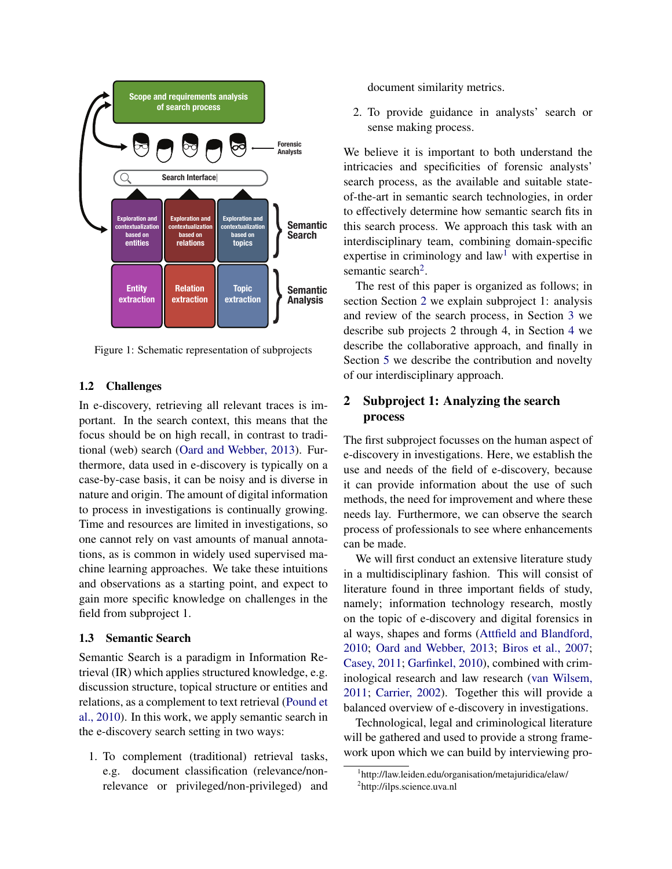

Figure 1: Schematic representation of subprojects

## 1.2 Challenges

In e-discovery, retrieving all relevant traces is important. In the search context, this means that the focus should be on high recall, in contrast to traditional (web) search [\(Oard and Webber, 2013\)](#page-4-1). Furthermore, data used in e-discovery is typically on a case-by-case basis, it can be noisy and is diverse in nature and origin. The amount of digital information to process in investigations is continually growing. Time and resources are limited in investigations, so one cannot rely on vast amounts of manual annotations, as is common in widely used supervised machine learning approaches. We take these intuitions and observations as a starting point, and expect to gain more specific knowledge on challenges in the field from subproject 1.

## 1.3 Semantic Search

Semantic Search is a paradigm in Information Retrieval (IR) which applies structured knowledge, e.g. discussion structure, topical structure or entities and relations, as a complement to text retrieval [\(Pound et](#page-4-2) [al., 2010\)](#page-4-2). In this work, we apply semantic search in the e-discovery search setting in two ways:

1. To complement (traditional) retrieval tasks, e.g. document classification (relevance/nonrelevance or privileged/non-privileged) and document similarity metrics.

2. To provide guidance in analysts' search or sense making process.

We believe it is important to both understand the intricacies and specificities of forensic analysts' search process, as the available and suitable stateof-the-art in semantic search technologies, in order to effectively determine how semantic search fits in this search process. We approach this task with an interdisciplinary team, combining domain-specific expertise in criminology and law<sup>[1](#page-1-0)</sup> with expertise in semantic search<sup>[2](#page-1-1)</sup>.

The rest of this paper is organized as follows; in section Section [2](#page-1-2) we explain subproject 1: analysis and review of the search process, in Section [3](#page-2-1) we describe sub projects 2 through 4, in Section [4](#page-2-2) we describe the collaborative approach, and finally in Section [5](#page-3-1) we describe the contribution and novelty of our interdisciplinary approach.

## <span id="page-1-2"></span>2 Subproject 1: Analyzing the search process

The first subproject focusses on the human aspect of e-discovery in investigations. Here, we establish the use and needs of the field of e-discovery, because it can provide information about the use of such methods, the need for improvement and where these needs lay. Furthermore, we can observe the search process of professionals to see where enhancements can be made.

We will first conduct an extensive literature study in a multidisciplinary fashion. This will consist of literature found in three important fields of study, namely; information technology research, mostly on the topic of e-discovery and digital forensics in al ways, shapes and forms [\(Attfield and Blandford,](#page-3-0) [2010;](#page-3-0) [Oard and Webber, 2013;](#page-4-1) [Biros et al., 2007;](#page-3-2) [Casey, 2011;](#page-4-3) [Garfinkel, 2010\)](#page-4-4), combined with criminological research and law research [\(van Wilsem,](#page-4-5) [2011;](#page-4-5) [Carrier, 2002\)](#page-4-6). Together this will provide a balanced overview of e-discovery in investigations.

Technological, legal and criminological literature will be gathered and used to provide a strong framework upon which we can build by interviewing pro-

<span id="page-1-1"></span><span id="page-1-0"></span><sup>1</sup> http://law.leiden.edu/organisation/metajuridica/elaw/ <sup>2</sup>http://ilps.science.uva.nl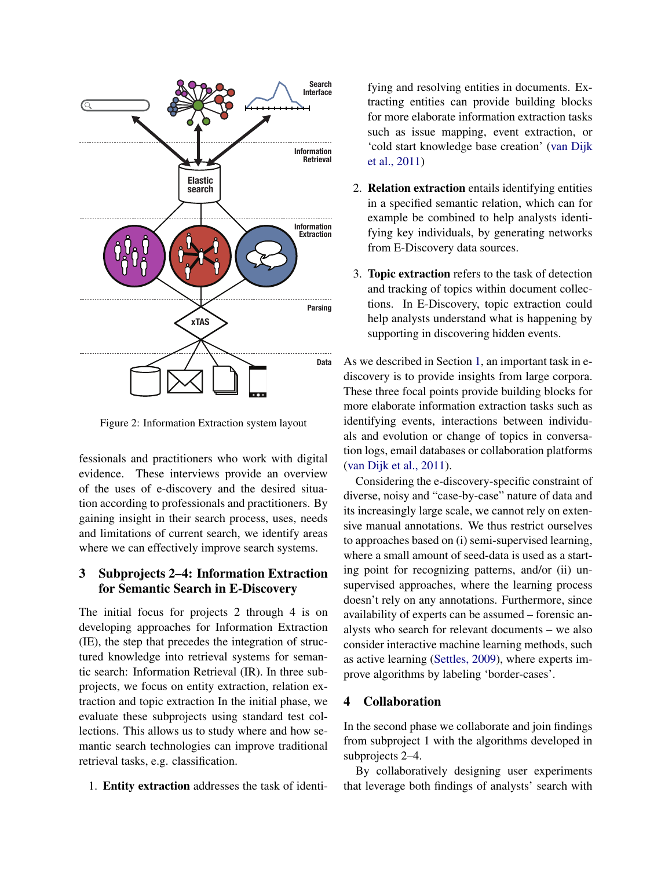

<span id="page-2-0"></span>Figure 2: Information Extraction system layout

fessionals and practitioners who work with digital evidence. These interviews provide an overview of the uses of e-discovery and the desired situation according to professionals and practitioners. By gaining insight in their search process, uses, needs and limitations of current search, we identify areas where we can effectively improve search systems.

## <span id="page-2-1"></span>3 Subprojects 2–4: Information Extraction for Semantic Search in E-Discovery

The initial focus for projects 2 through 4 is on developing approaches for Information Extraction (IE), the step that precedes the integration of structured knowledge into retrieval systems for semantic search: Information Retrieval (IR). In three subprojects, we focus on entity extraction, relation extraction and topic extraction In the initial phase, we evaluate these subprojects using standard test collections. This allows us to study where and how semantic search technologies can improve traditional retrieval tasks, e.g. classification.

1. Entity extraction addresses the task of identi-

fying and resolving entities in documents. Extracting entities can provide building blocks for more elaborate information extraction tasks such as issue mapping, event extraction, or 'cold start knowledge base creation' [\(van Dijk](#page-4-0) [et al., 2011\)](#page-4-0)

- 2. Relation extraction entails identifying entities in a specified semantic relation, which can for example be combined to help analysts identifying key individuals, by generating networks from E-Discovery data sources.
- 3. Topic extraction refers to the task of detection and tracking of topics within document collections. In E-Discovery, topic extraction could help analysts understand what is happening by supporting in discovering hidden events.

As we described in Section [1,](#page-0-0) an important task in ediscovery is to provide insights from large corpora. These three focal points provide building blocks for more elaborate information extraction tasks such as identifying events, interactions between individuals and evolution or change of topics in conversation logs, email databases or collaboration platforms [\(van Dijk et al., 2011\)](#page-4-0).

Considering the e-discovery-specific constraint of diverse, noisy and "case-by-case" nature of data and its increasingly large scale, we cannot rely on extensive manual annotations. We thus restrict ourselves to approaches based on (i) semi-supervised learning, where a small amount of seed-data is used as a starting point for recognizing patterns, and/or (ii) unsupervised approaches, where the learning process doesn't rely on any annotations. Furthermore, since availability of experts can be assumed – forensic analysts who search for relevant documents – we also consider interactive machine learning methods, such as active learning [\(Settles, 2009\)](#page-4-7), where experts improve algorithms by labeling 'border-cases'.

### <span id="page-2-2"></span>4 Collaboration

In the second phase we collaborate and join findings from subproject 1 with the algorithms developed in subprojects 2–4.

By collaboratively designing user experiments that leverage both findings of analysts' search with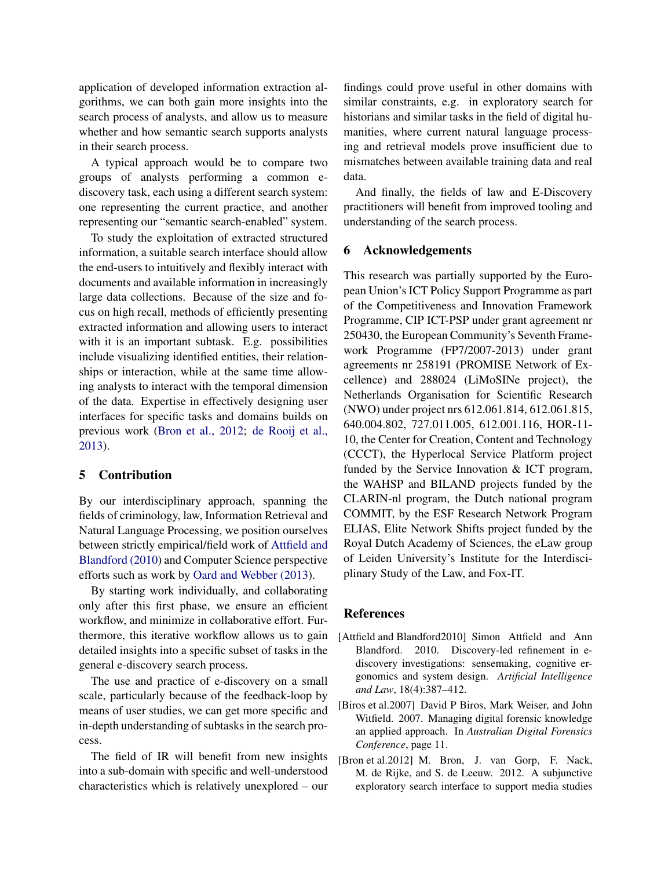application of developed information extraction algorithms, we can both gain more insights into the search process of analysts, and allow us to measure whether and how semantic search supports analysts in their search process.

A typical approach would be to compare two groups of analysts performing a common ediscovery task, each using a different search system: one representing the current practice, and another representing our "semantic search-enabled" system.

To study the exploitation of extracted structured information, a suitable search interface should allow the end-users to intuitively and flexibly interact with documents and available information in increasingly large data collections. Because of the size and focus on high recall, methods of efficiently presenting extracted information and allowing users to interact with it is an important subtask. E.g. possibilities include visualizing identified entities, their relationships or interaction, while at the same time allowing analysts to interact with the temporal dimension of the data. Expertise in effectively designing user interfaces for specific tasks and domains builds on previous work [\(Bron et al., 2012;](#page-3-3) [de Rooij et al.,](#page-4-8) [2013\)](#page-4-8).

### <span id="page-3-1"></span>5 Contribution

By our interdisciplinary approach, spanning the fields of criminology, law, Information Retrieval and Natural Language Processing, we position ourselves between strictly empirical/field work of [Attfield and](#page-3-0) [Blandford \(2010\)](#page-3-0) and Computer Science perspective efforts such as work by [Oard and Webber \(2013\)](#page-4-1).

By starting work individually, and collaborating only after this first phase, we ensure an efficient workflow, and minimize in collaborative effort. Furthermore, this iterative workflow allows us to gain detailed insights into a specific subset of tasks in the general e-discovery search process.

The use and practice of e-discovery on a small scale, particularly because of the feedback-loop by means of user studies, we can get more specific and in-depth understanding of subtasks in the search process.

The field of IR will benefit from new insights into a sub-domain with specific and well-understood characteristics which is relatively unexplored – our

findings could prove useful in other domains with similar constraints, e.g. in exploratory search for historians and similar tasks in the field of digital humanities, where current natural language processing and retrieval models prove insufficient due to mismatches between available training data and real data.

And finally, the fields of law and E-Discovery practitioners will benefit from improved tooling and understanding of the search process.

#### 6 Acknowledgements

This research was partially supported by the European Union's ICT Policy Support Programme as part of the Competitiveness and Innovation Framework Programme, CIP ICT-PSP under grant agreement nr 250430, the European Community's Seventh Framework Programme (FP7/2007-2013) under grant agreements nr 258191 (PROMISE Network of Excellence) and 288024 (LiMoSINe project), the Netherlands Organisation for Scientific Research (NWO) under project nrs 612.061.814, 612.061.815, 640.004.802, 727.011.005, 612.001.116, HOR-11- 10, the Center for Creation, Content and Technology (CCCT), the Hyperlocal Service Platform project funded by the Service Innovation & ICT program, the WAHSP and BILAND projects funded by the CLARIN-nl program, the Dutch national program COMMIT, by the ESF Research Network Program ELIAS, Elite Network Shifts project funded by the Royal Dutch Academy of Sciences, the eLaw group of Leiden University's Institute for the Interdisciplinary Study of the Law, and Fox-IT.

#### References

- <span id="page-3-0"></span>[Attfield and Blandford2010] Simon Attfield and Ann Blandford. 2010. Discovery-led refinement in ediscovery investigations: sensemaking, cognitive ergonomics and system design. *Artificial Intelligence and Law*, 18(4):387–412.
- <span id="page-3-2"></span>[Biros et al.2007] David P Biros, Mark Weiser, and John Witfield. 2007. Managing digital forensic knowledge an applied approach. In *Australian Digital Forensics Conference*, page 11.
- <span id="page-3-3"></span>[Bron et al.2012] M. Bron, J. van Gorp, F. Nack, M. de Rijke, and S. de Leeuw. 2012. A subjunctive exploratory search interface to support media studies